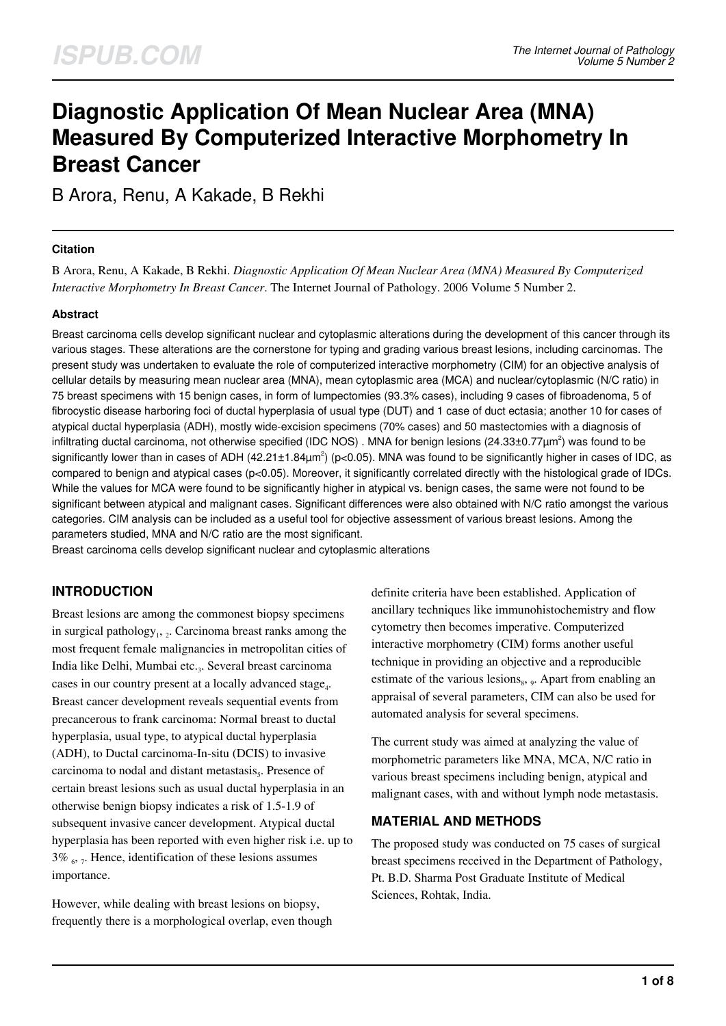# **Diagnostic Application Of Mean Nuclear Area (MNA) Measured By Computerized Interactive Morphometry In Breast Cancer**

B Arora, Renu, A Kakade, B Rekhi

#### **Citation**

B Arora, Renu, A Kakade, B Rekhi. *Diagnostic Application Of Mean Nuclear Area (MNA) Measured By Computerized Interactive Morphometry In Breast Cancer*. The Internet Journal of Pathology. 2006 Volume 5 Number 2.

## **Abstract**

Breast carcinoma cells develop significant nuclear and cytoplasmic alterations during the development of this cancer through its various stages. These alterations are the cornerstone for typing and grading various breast lesions, including carcinomas. The present study was undertaken to evaluate the role of computerized interactive morphometry (CIM) for an objective analysis of cellular details by measuring mean nuclear area (MNA), mean cytoplasmic area (MCA) and nuclear/cytoplasmic (N/C ratio) in 75 breast specimens with 15 benign cases, in form of lumpectomies (93.3% cases), including 9 cases of fibroadenoma, 5 of fibrocystic disease harboring foci of ductal hyperplasia of usual type (DUT) and 1 case of duct ectasia; another 10 for cases of atypical ductal hyperplasia (ADH), mostly wide-excision specimens (70% cases) and 50 mastectomies with a diagnosis of infiltrating ductal carcinoma, not otherwise specified (IDC NOS) . MNA for benign lesions (24.33±0.77 $\mu$ m<sup>2</sup>) was found to be significantly lower than in cases of ADH (42.21 $\pm$ 1.84 $\mu$ m<sup>2</sup>) (p<0.05). MNA was found to be significantly higher in cases of IDC, as compared to benign and atypical cases (p<0.05). Moreover, it significantly correlated directly with the histological grade of IDCs. While the values for MCA were found to be significantly higher in atypical vs. benign cases, the same were not found to be significant between atypical and malignant cases. Significant differences were also obtained with N/C ratio amongst the various categories. CIM analysis can be included as a useful tool for objective assessment of various breast lesions. Among the parameters studied, MNA and N/C ratio are the most significant.

Breast carcinoma cells develop significant nuclear and cytoplasmic alterations

# **INTRODUCTION**

Breast lesions are among the commonest biopsy specimens in surgical pathology<sub>1</sub>, 2. Carcinoma breast ranks among the most frequent female malignancies in metropolitan cities of India like Delhi, Mumbai etc.<sub>3</sub>. Several breast carcinoma cases in our country present at a locally advanced stage<sub>4</sub>. Breast cancer development reveals sequential events from precancerous to frank carcinoma: Normal breast to ductal hyperplasia, usual type, to atypical ductal hyperplasia (ADH), to Ductal carcinoma-In-situ (DCIS) to invasive carcinoma to nodal and distant metastasis<sub>s</sub>. Presence of certain breast lesions such as usual ductal hyperplasia in an otherwise benign biopsy indicates a risk of 1.5-1.9 of subsequent invasive cancer development. Atypical ductal hyperplasia has been reported with even higher risk i.e. up to 3%  $_6$ ,  $_7$ . Hence, identification of these lesions assumes importance.

However, while dealing with breast lesions on biopsy, frequently there is a morphological overlap, even though definite criteria have been established. Application of ancillary techniques like immunohistochemistry and flow cytometry then becomes imperative. Computerized interactive morphometry (CIM) forms another useful technique in providing an objective and a reproducible estimate of the various lesions $_8$ ,  $_9$ . Apart from enabling an appraisal of several parameters, CIM can also be used for automated analysis for several specimens.

The current study was aimed at analyzing the value of morphometric parameters like MNA, MCA, N/C ratio in various breast specimens including benign, atypical and malignant cases, with and without lymph node metastasis.

## **MATERIAL AND METHODS**

The proposed study was conducted on 75 cases of surgical breast specimens received in the Department of Pathology, Pt. B.D. Sharma Post Graduate Institute of Medical Sciences, Rohtak, India.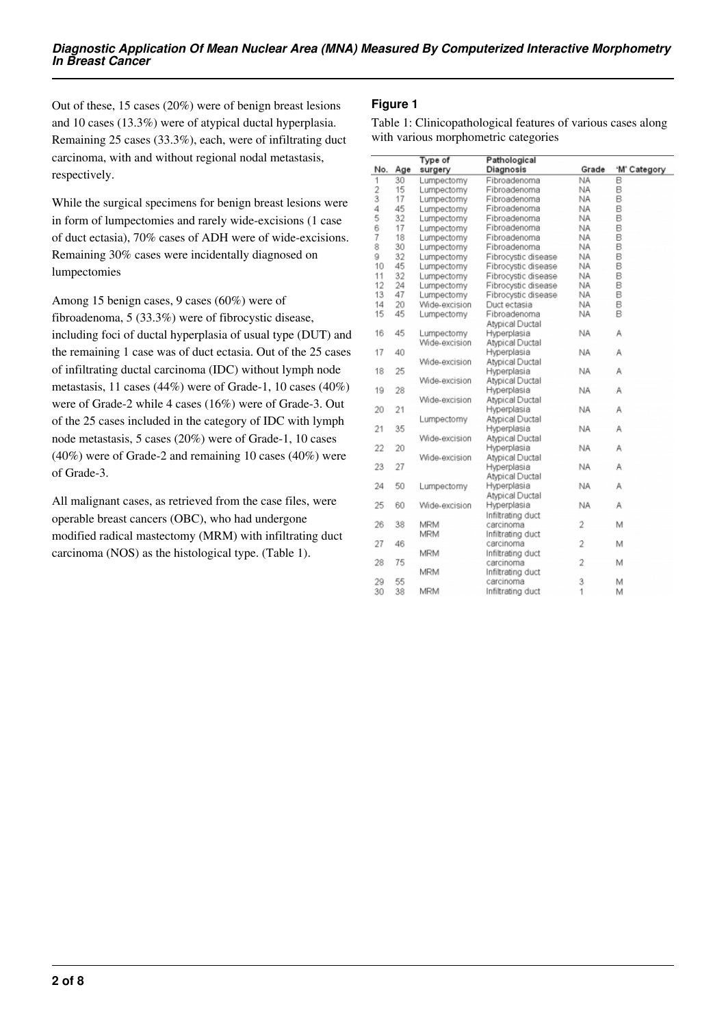Out of these, 15 cases (20%) were of benign breast lesions and 10 cases (13.3%) were of atypical ductal hyperplasia. Remaining 25 cases (33.3%), each, were of infiltrating duct carcinoma, with and without regional nodal metastasis, respectively.

While the surgical specimens for benign breast lesions were in form of lumpectomies and rarely wide-excisions (1 case of duct ectasia), 70% cases of ADH were of wide-excisions. Remaining 30% cases were incidentally diagnosed on lumpectomies

Among 15 benign cases, 9 cases (60%) were of fibroadenoma, 5 (33.3%) were of fibrocystic disease, including foci of ductal hyperplasia of usual type (DUT) and the remaining 1 case was of duct ectasia. Out of the 25 cases of infiltrating ductal carcinoma (IDC) without lymph node metastasis, 11 cases (44%) were of Grade-1, 10 cases (40%) were of Grade-2 while 4 cases (16%) were of Grade-3. Out of the 25 cases included in the category of IDC with lymph node metastasis, 5 cases (20%) were of Grade-1, 10 cases (40%) were of Grade-2 and remaining 10 cases (40%) were of Grade-3.

All malignant cases, as retrieved from the case files, were operable breast cancers (OBC), who had undergone modified radical mastectomy (MRM) with infiltrating duct carcinoma (NOS) as the histological type. (Table 1).

# **Figure 1**

Table 1: Clinicopathological features of various cases along with various morphometric categories

|                |     | Type of       | Pathological        |                |              |  |
|----------------|-----|---------------|---------------------|----------------|--------------|--|
| No.            | Age | surgery       | Diagnosis           | Grade          | 'M' Category |  |
| 1              | 30  | Lumpectomy    | Fibroadenoma        | <b>NA</b>      | B            |  |
| $\overline{2}$ | 15  | Lumpectomy    | Fibroadenoma        | <b>NA</b>      | B            |  |
| 3              | 17  | Lumpectomy    | Fibroadenoma        | ΝA             | B            |  |
| 4              | 45  | Lumpectomy    | Fibroadenoma        | NA             | B            |  |
| 5              | 32  | Lumpectomy    | Fibroadenoma        | NA             | B            |  |
| 6              | 17  | Lumpectomy    | Fibroadenoma        | NA             | B            |  |
| 7              | 18  | Lumpectomy    | Fibroadenoma        | NA             | B            |  |
| 8              | 30  | Lumpectomy    | Fibroadenoma        | NA             | B            |  |
| ğ              | 32  | Lumpectomy    | Fibrocystic disease | NA             | B            |  |
| 10             | 45  | Lumpectomy    | Fibrocystic disease | NA             | B            |  |
| 11             | 32  | Lumpectomy    | Fibrocystic disease | NA             | B            |  |
| 12             | 24  | Lumpectomy    | Fibrocystic disease | <b>NA</b>      | B            |  |
| 13             | 47  | Lumpectomy    | Fibrocystic disease | NA             | B            |  |
| 14             | 20  | Wide-excision | Duct ectasia        | <b>NA</b>      | B            |  |
| 15             | 45  | Lumpectomy    | Fibroadenoma        | NA             | B            |  |
|                |     |               | Atypical Ductal     |                |              |  |
| 16             | 45  | Lumpectomy    | Hyperplasia         | <b>NA</b>      | Α            |  |
|                |     | Wide-excision | Atypical Ductal     |                |              |  |
| 17             | 40  |               | Hyperplasia         | <b>NA</b>      | А            |  |
|                |     | Wide-excision | Atypical Ductal     |                |              |  |
| 18             | 25  |               | Hyperplasia         | <b>NA</b>      | А            |  |
|                |     | Wide-excision | Atypical Ductal     |                |              |  |
| 19             | 28  |               | Hyperplasia         | <b>NA</b>      | Α            |  |
|                |     | Wide-excision | Atypical Ductal     |                |              |  |
| 20             | 21  |               | Hyperplasia         | <b>NA</b>      | Α            |  |
|                |     | Lumpectomy    | Atypical Ductal     |                |              |  |
| 21             | 35  |               | Hyperplasia         | <b>NA</b>      | А            |  |
|                |     | Wide-excision | Atypical Ductal     |                |              |  |
| 22             | 20  |               | Hyperplasia         | <b>NA</b>      | Α            |  |
|                |     | Wide-excision | Atypical Ductal     |                |              |  |
| 23             | 27  |               | Hyperplasia         | <b>NA</b>      | Α            |  |
|                |     |               | Atypical Ductal     |                |              |  |
| 24             | 50  | Lumpectomy    | Hyperplasia         | <b>NA</b>      | Α            |  |
|                |     |               | Atypical Ductal     |                |              |  |
| 25             | 60  | Wide-excision | Hyperplasia         | <b>NA</b>      | А            |  |
|                |     |               | Infiltrating duct   |                |              |  |
| 26             | 38  | <b>MRM</b>    | carcinoma           | 2              | М            |  |
|                |     | <b>MRM</b>    | Infiltrating duct   |                |              |  |
| 27             | 46  |               | carcinoma           | $\overline{2}$ | M            |  |
|                |     | <b>MRM</b>    | Infiltrating duct   |                |              |  |
| 28             | 75  |               | carcinoma           | 2              | M            |  |
|                |     | <b>MRM</b>    | Infiltrating duct   |                |              |  |
| 29             | 55  |               | carcinoma           | 3              | М            |  |
| 30             | 38  | <b>MRM</b>    | Infiltrating duct   | 1              | М            |  |
|                |     |               |                     |                |              |  |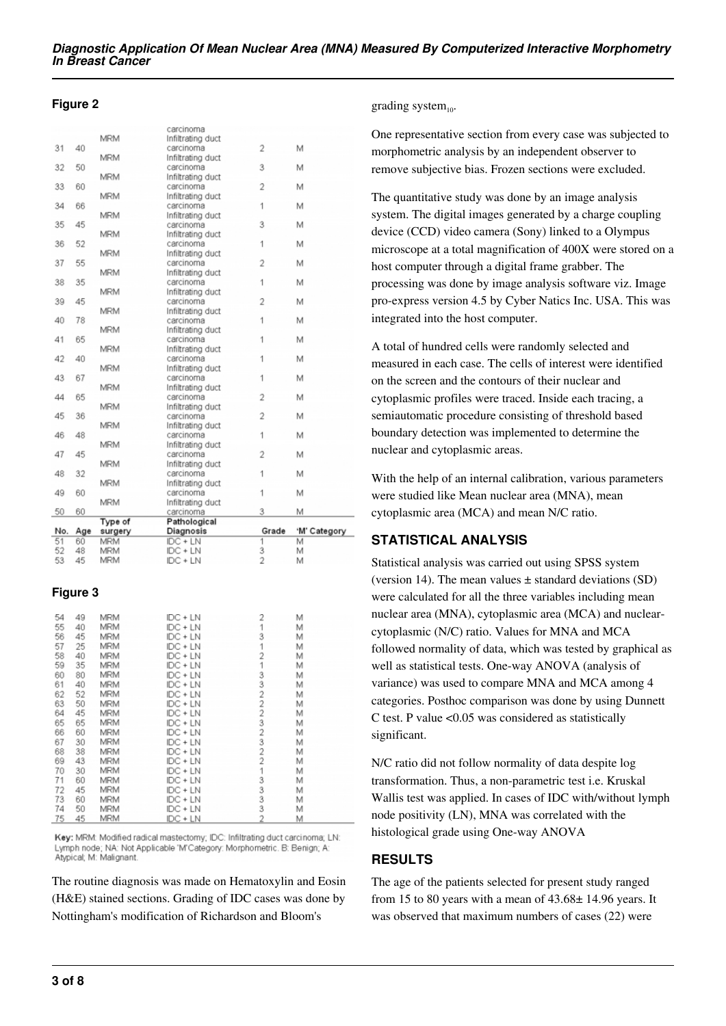#### **Figure 2**

|          |          |                          | carcinoma              |                |              |
|----------|----------|--------------------------|------------------------|----------------|--------------|
|          |          | <b>MRM</b>               | Infiltrating duct      |                |              |
| 31       | 40       |                          | carcinoma              | $\overline{2}$ | M            |
|          |          | <b>MRM</b>               | Infiltrating duct      |                |              |
| 32       | 50       |                          | carcinoma              | 3              | M            |
|          |          | <b>MRM</b>               | Infiltrating duct      |                |              |
| 33       | 60       |                          | carcinoma              | $\overline{2}$ | M            |
|          |          | <b>MRM</b>               | Infiltrating duct      |                |              |
| 34       | 66       |                          | carcinoma              | 1              | M            |
|          |          | <b>MRM</b>               | Infiltrating duct      |                |              |
| 35       | 45       |                          | carcinoma              | 3              | M            |
|          |          | <b>MRM</b>               | Infiltrating duct      |                |              |
| 36       | 52       |                          | carcinoma              | 1              | M            |
|          |          | <b>MRM</b>               | Infiltrating duct      |                |              |
| 37       | 55       |                          | carcinoma              | $\overline{2}$ | M            |
|          |          | <b>MRM</b>               | Infiltrating duct      |                |              |
| 38       | 35       |                          | carcinoma              | 1              | M            |
|          |          | <b>MRM</b>               | Infiltrating duct      |                |              |
| 39       | 45       |                          | carcinoma              | 2              | M            |
|          |          | <b>MRM</b>               | Infiltrating duct      |                |              |
| 40       | 78       |                          | carcinoma              | 1              | M            |
|          |          | <b>MRM</b>               | Infiltrating duct      |                |              |
| 41       | 65       |                          | carcinoma              | 1              | M            |
|          |          | <b>MRM</b>               | Infiltrating duct      |                |              |
| 42       | 40       |                          | carcinoma              | 1              | M            |
|          |          | <b>MRM</b>               | Infiltrating duct      |                |              |
| 43       | 67       |                          | carcinoma              | 1              | M            |
|          |          | <b>MRM</b>               | Infiltrating duct      |                |              |
| 44       | 65       |                          | carcinoma              | 2              | M            |
|          |          | <b>MRM</b>               | Infiltrating duct      |                |              |
| 45       | 36       |                          | carcinoma              | $\overline{2}$ | M            |
|          |          | <b>MRM</b>               | Infiltrating duct      |                |              |
| 46       | 48       |                          | carcinoma              | 1              | M            |
|          |          | <b>MRM</b>               | Infiltrating duct      |                |              |
| 47       | 45       |                          | carcinoma              | $\overline{2}$ | M            |
|          |          | <b>MRM</b>               | Infiltrating duct      |                |              |
| 48       | 32       |                          | carcinoma              | 1              | M            |
|          |          | <b>MRM</b>               | Infiltrating duct      |                |              |
| 49       | 60       |                          | carcinoma              | 1              | M            |
|          |          | <b>MRM</b>               | Infiltrating duct      |                |              |
| 50       | 60       |                          | carcinoma              | 3              | M            |
|          |          | Type of                  | Pathological           |                |              |
| No.      | Age      | surgery                  | Diagnosis              | Grade          | 'M' Category |
| 51       | 60       | <b>MRM</b>               | $DC + LN$              | 1              | М            |
| 52<br>につ | 48<br>AE | <b>MRM</b><br><b>MDM</b> | IDC + LN<br>$IDC + IN$ | 3<br>Ą.        | M<br>h.A     |
|          |          |                          |                        |                |              |

## **Figure 3**

| 54 | 49  | MRM        | IDC + LN   | 2              | Μ |  |
|----|-----|------------|------------|----------------|---|--|
| 55 | 40  | <b>MRM</b> | $DC + LN$  | 1              | М |  |
| 56 | 45  | <b>MRM</b> | IDC + LN   | 3              | М |  |
| 57 | 25  | <b>MRM</b> | $IDC + LN$ | 1              | М |  |
| 58 | 40  | <b>MRM</b> | $IDC + LN$ | 2              | M |  |
| 59 | 35  | <b>MRM</b> | IDC + LN   |                | М |  |
| 60 | 80  | <b>MRM</b> | $IDC + LN$ | 3              | М |  |
| 61 | 40  | <b>MRM</b> | $IDC + LN$ | 3              | М |  |
| 62 | 52  | MRM        | $IDC + LN$ | $\overline{2}$ | M |  |
| 63 | 50  | <b>MRM</b> | $IDC + LN$ | 2              | М |  |
| 64 | 45  | <b>MRM</b> | $IDC + LN$ | $\overline{2}$ | M |  |
| 65 | 65  | <b>MRM</b> | $IDC + LN$ | 3              | М |  |
| 66 | 60  | <b>MRM</b> | $IDC + LN$ | $\overline{2}$ | М |  |
| 67 | 30  | <b>MRM</b> | $IDC + LN$ | 3              | М |  |
| 68 | 38  | <b>MRM</b> | $IDC + LN$ | 2              | М |  |
| 69 | 43  | <b>MRM</b> | $DC + LN$  | 2              | М |  |
| 70 | 30  | <b>MRM</b> | $IDC + LN$ | 1              | М |  |
| 71 | 60  | <b>MRM</b> | IDC + LN   | 3              | М |  |
| 72 | 45  | <b>MRM</b> | $DC + LN$  | 3              | М |  |
| 73 | 60  | <b>MRM</b> | $IDC + LN$ | 3              | М |  |
| 74 | 50  | <b>MRM</b> | $IDC + LN$ | 3              | М |  |
| 75 | лE. | MDM        | $IDC + IN$ | o              | M |  |

Key: MRM: Modified radical mastectomy; IDC: Infiltrating duct carcinoma; LN: Lymph node; NA: Not Applicable 'M'Category: Morphometric. B: Benign; A: Atypical; M: Malignant

The routine diagnosis was made on Hematoxylin and Eosin (H&E) stained sections. Grading of IDC cases was done by Nottingham's modification of Richardson and Bloom's

#### grading system $_{10}$ .

One representative section from every case was subjected to morphometric analysis by an independent observer to remove subjective bias. Frozen sections were excluded.

The quantitative study was done by an image analysis system. The digital images generated by a charge coupling device (CCD) video camera (Sony) linked to a Olympus microscope at a total magnification of 400X were stored on a host computer through a digital frame grabber. The processing was done by image analysis software viz. Image pro-express version 4.5 by Cyber Natics Inc. USA. This was integrated into the host computer.

A total of hundred cells were randomly selected and measured in each case. The cells of interest were identified on the screen and the contours of their nuclear and cytoplasmic profiles were traced. Inside each tracing, a semiautomatic procedure consisting of threshold based boundary detection was implemented to determine the nuclear and cytoplasmic areas.

With the help of an internal calibration, various parameters were studied like Mean nuclear area (MNA), mean cytoplasmic area (MCA) and mean N/C ratio.

# **STATISTICAL ANALYSIS**

Statistical analysis was carried out using SPSS system (version 14). The mean values  $\pm$  standard deviations (SD) were calculated for all the three variables including mean nuclear area (MNA), cytoplasmic area (MCA) and nuclearcytoplasmic (N/C) ratio. Values for MNA and MCA followed normality of data, which was tested by graphical as well as statistical tests. One-way ANOVA (analysis of variance) was used to compare MNA and MCA among 4 categories. Posthoc comparison was done by using Dunnett C test. P value <0.05 was considered as statistically significant.

N/C ratio did not follow normality of data despite log transformation. Thus, a non-parametric test i.e. Kruskal Wallis test was applied. In cases of IDC with/without lymph node positivity (LN), MNA was correlated with the histological grade using One-way ANOVA

# **RESULTS**

The age of the patients selected for present study ranged from 15 to 80 years with a mean of 43.68± 14.96 years. It was observed that maximum numbers of cases (22) were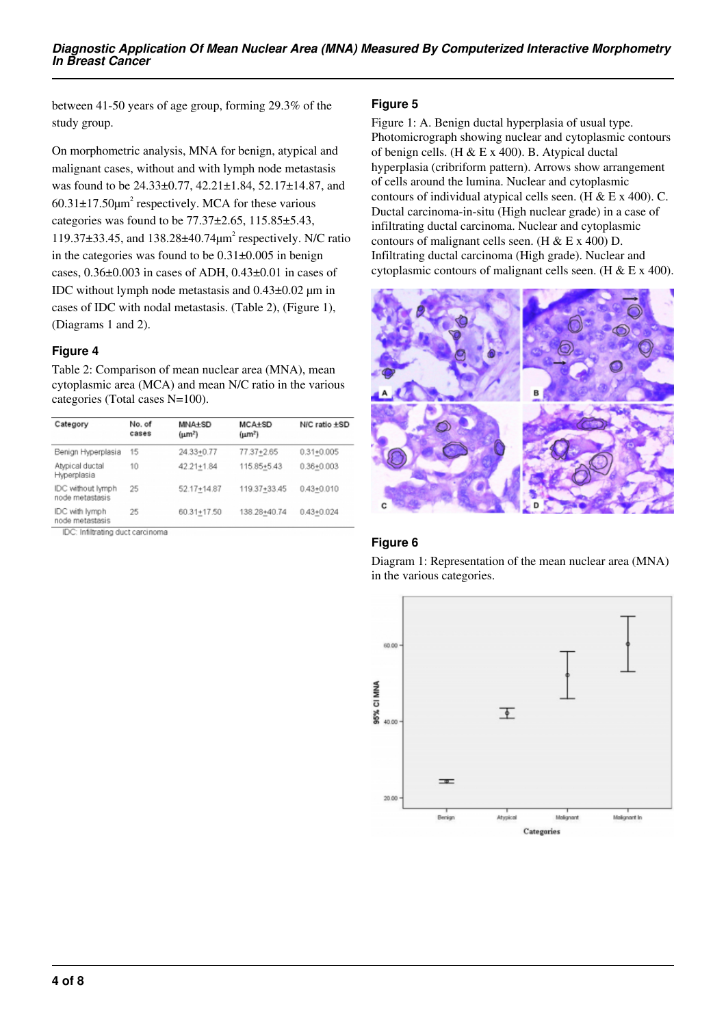between 41-50 years of age group, forming 29.3% of the study group.

On morphometric analysis, MNA for benign, atypical and malignant cases, without and with lymph node metastasis was found to be 24.33±0.77, 42.21±1.84, 52.17±14.87, and  $60.31 \pm 17.50 \mu m^2$  respectively. MCA for these various categories was found to be  $77.37\pm2.65$ ,  $115.85\pm5.43$ , 119.37±33.45, and 138.28±40.74μm<sup>2</sup> respectively. N/C ratio in the categories was found to be  $0.31\pm0.005$  in benign cases, 0.36±0.003 in cases of ADH, 0.43±0.01 in cases of IDC without lymph node metastasis and 0.43±0.02 µm in cases of IDC with nodal metastasis. (Table 2), (Figure 1), (Diagrams 1 and 2).

## **Figure 4**

Table 2: Comparison of mean nuclear area (MNA), mean cytoplasmic area (MCA) and mean N/C ratio in the various categories (Total cases N=100).

| Category                             | No. of<br>cases | <b>MNA±SD</b><br>$(\mu m^2)$ | $MCA+SD$<br>$(\mu m^2)$ | N/C ratio ±SD  |  |
|--------------------------------------|-----------------|------------------------------|-------------------------|----------------|--|
| Benign Hyperplasia                   | 15              | $24.33 + 0.77$               | 77.37+2.65              | $0.31 + 0.005$ |  |
| Atypical ductal<br>Hyperplasia       | 10              | 42.21+1.84                   | 115.85+5.43             | $0.36 + 0.003$ |  |
| IDC without lymph<br>node metastasis | 25              | $52.17 + 14.87$              | 119.37+33.45            | $0.43 + 0.010$ |  |
| IDC with lymph<br>node metastasis    | 25              | 60.31+17.50                  | 138.28+40.74            | $0.43 + 0.024$ |  |

IDC: Infiltrating duct carcinoma

## **Figure 5**

Figure 1: A. Benign ductal hyperplasia of usual type. Photomicrograph showing nuclear and cytoplasmic contours of benign cells. (H & E x 400). B. Atypical ductal hyperplasia (cribriform pattern). Arrows show arrangement of cells around the lumina. Nuclear and cytoplasmic contours of individual atypical cells seen. (H & E x 400). C. Ductal carcinoma-in-situ (High nuclear grade) in a case of infiltrating ductal carcinoma. Nuclear and cytoplasmic contours of malignant cells seen. (H  $&$  E x 400) D. Infiltrating ductal carcinoma (High grade). Nuclear and cytoplasmic contours of malignant cells seen. (H & E x 400).



# **Figure 6**

Diagram 1: Representation of the mean nuclear area (MNA) in the various categories.

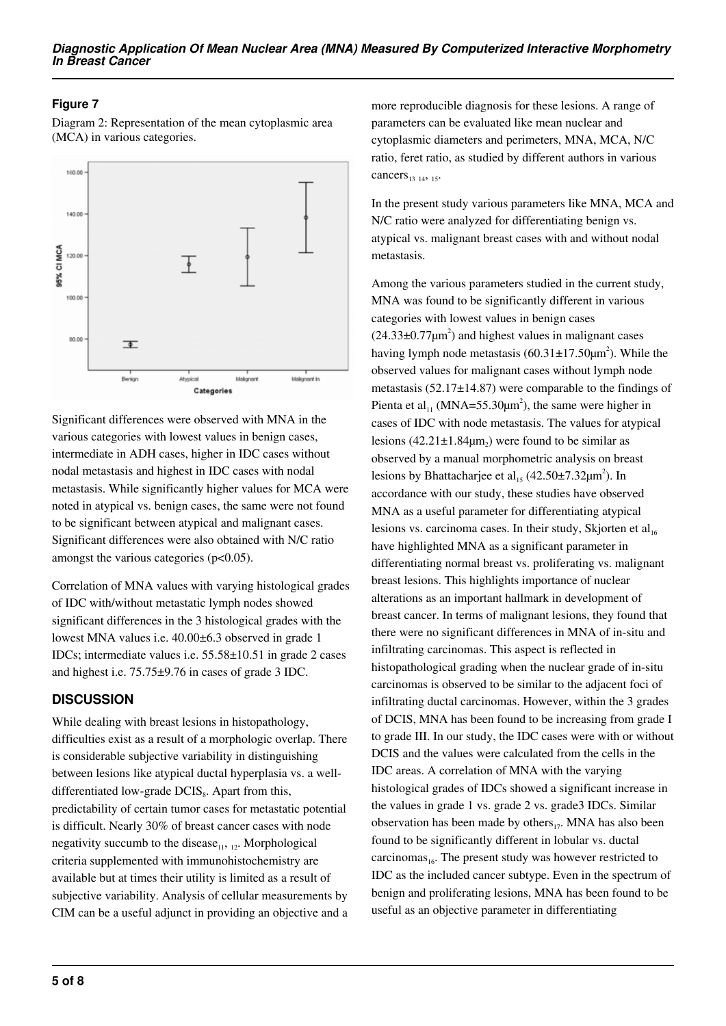# **Figure 7**

Diagram 2: Representation of the mean cytoplasmic area (MCA) in various categories.



Significant differences were observed with MNA in the various categories with lowest values in benign cases, intermediate in ADH cases, higher in IDC cases without nodal metastasis and highest in IDC cases with nodal metastasis. While significantly higher values for MCA were noted in atypical vs. benign cases, the same were not found to be significant between atypical and malignant cases. Significant differences were also obtained with N/C ratio amongst the various categories  $(p<0.05)$ .

Correlation of MNA values with varying histological grades of IDC with/without metastatic lymph nodes showed significant differences in the 3 histological grades with the lowest MNA values i.e. 40.00±6.3 observed in grade 1 IDCs; intermediate values i.e. 55.58±10.51 in grade 2 cases and highest i.e. 75.75±9.76 in cases of grade 3 IDC.

## **DISCUSSION**

While dealing with breast lesions in histopathology, difficulties exist as a result of a morphologic overlap. There is considerable subjective variability in distinguishing between lesions like atypical ductal hyperplasia vs. a welldifferentiated low-grade  $DCIS<sub>8</sub>$ . Apart from this, predictability of certain tumor cases for metastatic potential is difficult. Nearly 30% of breast cancer cases with node negativity succumb to the disease $_{11}$ ,  $_{12}$ . Morphological criteria supplemented with immunohistochemistry are available but at times their utility is limited as a result of subjective variability. Analysis of cellular measurements by CIM can be a useful adjunct in providing an objective and a

more reproducible diagnosis for these lesions. A range of parameters can be evaluated like mean nuclear and cytoplasmic diameters and perimeters, MNA, MCA, N/C ratio, feret ratio, as studied by different authors in various cancers $_{13}$   $_{14}$ ,  $_{15}$ .

In the present study various parameters like MNA, MCA and N/C ratio were analyzed for differentiating benign vs. atypical vs. malignant breast cases with and without nodal metastasis.

Among the various parameters studied in the current study, MNA was found to be significantly different in various categories with lowest values in benign cases  $(24.33\pm0.77\mu m^2)$  and highest values in malignant cases having lymph node metastasis  $(60.31 \pm 17.50 \mu m^2)$ . While the observed values for malignant cases without lymph node metastasis (52.17±14.87) were comparable to the findings of Pienta et al<sub>11</sub> (MNA=55.30 $\mu$ m<sup>2</sup>), the same were higher in cases of IDC with node metastasis. The values for atypical lesions  $(42.21 \pm 1.84 \mu m_2)$  were found to be similar as observed by a manual morphometric analysis on breast lesions by Bhattacharjee et al<sub>15</sub> (42.50 $\pm$ 7.32 $\mu$ m<sup>2</sup>). In accordance with our study, these studies have observed MNA as a useful parameter for differentiating atypical lesions vs. carcinoma cases. In their study, Skjorten et  $al<sub>16</sub>$ have highlighted MNA as a significant parameter in differentiating normal breast vs. proliferating vs. malignant breast lesions. This highlights importance of nuclear alterations as an important hallmark in development of breast cancer. In terms of malignant lesions, they found that there were no significant differences in MNA of in-situ and infiltrating carcinomas. This aspect is reflected in histopathological grading when the nuclear grade of in-situ carcinomas is observed to be similar to the adjacent foci of infiltrating ductal carcinomas. However, within the 3 grades of DCIS, MNA has been found to be increasing from grade I to grade III. In our study, the IDC cases were with or without DCIS and the values were calculated from the cells in the IDC areas. A correlation of MNA with the varying histological grades of IDCs showed a significant increase in the values in grade 1 vs. grade 2 vs. grade3 IDCs. Similar observation has been made by others $_{17}$ . MNA has also been found to be significantly different in lobular vs. ductal carcinomas $_{16}$ . The present study was however restricted to IDC as the included cancer subtype. Even in the spectrum of benign and proliferating lesions, MNA has been found to be useful as an objective parameter in differentiating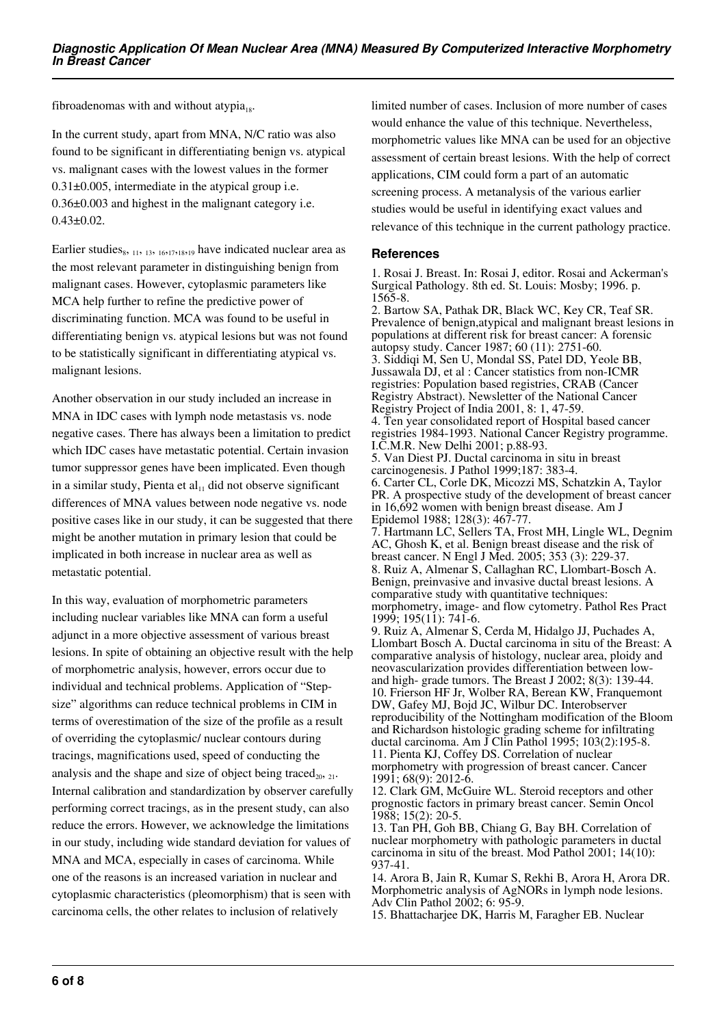fibroadenomas with and without atypia<sub>18</sub>.

In the current study, apart from MNA, N/C ratio was also found to be significant in differentiating benign vs. atypical vs. malignant cases with the lowest values in the former 0.31±0.005, intermediate in the atypical group i.e. 0.36±0.003 and highest in the malignant category i.e. 0.43±0.02.

Earlier studies<sub>8</sub>,  $_{11}$ ,  $_{13}$ ,  $_{16,17,18,19}$  have indicated nuclear area as the most relevant parameter in distinguishing benign from malignant cases. However, cytoplasmic parameters like MCA help further to refine the predictive power of discriminating function. MCA was found to be useful in differentiating benign vs. atypical lesions but was not found to be statistically significant in differentiating atypical vs. malignant lesions.

Another observation in our study included an increase in MNA in IDC cases with lymph node metastasis vs. node negative cases. There has always been a limitation to predict which IDC cases have metastatic potential. Certain invasion tumor suppressor genes have been implicated. Even though in a similar study, Pienta et  $al<sub>11</sub>$  did not observe significant differences of MNA values between node negative vs. node positive cases like in our study, it can be suggested that there might be another mutation in primary lesion that could be implicated in both increase in nuclear area as well as metastatic potential.

In this way, evaluation of morphometric parameters including nuclear variables like MNA can form a useful adjunct in a more objective assessment of various breast lesions. In spite of obtaining an objective result with the help of morphometric analysis, however, errors occur due to individual and technical problems. Application of "Stepsize" algorithms can reduce technical problems in CIM in terms of overestimation of the size of the profile as a result of overriding the cytoplasmic/ nuclear contours during tracings, magnifications used, speed of conducting the analysis and the shape and size of object being traced<sub>20</sub>,  $_{21}$ . Internal calibration and standardization by observer carefully performing correct tracings, as in the present study, can also reduce the errors. However, we acknowledge the limitations in our study, including wide standard deviation for values of MNA and MCA, especially in cases of carcinoma. While one of the reasons is an increased variation in nuclear and cytoplasmic characteristics (pleomorphism) that is seen with carcinoma cells, the other relates to inclusion of relatively

limited number of cases. Inclusion of more number of cases would enhance the value of this technique. Nevertheless, morphometric values like MNA can be used for an objective assessment of certain breast lesions. With the help of correct applications, CIM could form a part of an automatic screening process. A metanalysis of the various earlier studies would be useful in identifying exact values and relevance of this technique in the current pathology practice.

#### **References**

1. Rosai J. Breast. In: Rosai J, editor. Rosai and Ackerman's Surgical Pathology. 8th ed. St. Louis: Mosby; 1996. p. 1565-8. 2. Bartow SA, Pathak DR, Black WC, Key CR, Teaf SR. Prevalence of benign,atypical and malignant breast lesions in

populations at different risk for breast cancer: A forensic autopsy study. Cancer 1987; 60 (11): 2751-60. 3. Siddiqi M, Sen U, Mondal SS, Patel DD, Yeole BB, Jussawala DJ, et al : Cancer statistics from non-ICMR registries: Population based registries, CRAB (Cancer Registry Abstract). Newsletter of the National Cancer Registry Project of India 2001, 8: 1, 47-59. 4. Ten year consolidated report of Hospital based cancer registries 1984-1993. National Cancer Registry programme. I.C.M.R. New Delhi 2001; p.88-93. 5. Van Diest PJ. Ductal carcinoma in situ in breast carcinogenesis. J Pathol 1999;187: 383-4. 6. Carter CL, Corle DK, Micozzi MS, Schatzkin A, Taylor PR. A prospective study of the development of breast cancer in 16,692 women with benign breast disease. Am J Epidemol 1988; 128(3): 467-77. 7. Hartmann LC, Sellers TA, Frost MH, Lingle WL, Degnim AC, Ghosh K, et al. Benign breast disease and the risk of breast cancer. N Engl J Med. 2005; 353 (3): 229-37. 8. Ruiz A, Almenar S, Callaghan RC, Llombart-Bosch A. Benign, preinvasive and invasive ductal breast lesions. A comparative study with quantitative techniques: morphometry, image- and flow cytometry. Pathol Res Pract 1999; 195(11): 741-6. 9. Ruiz A, Almenar S, Cerda M, Hidalgo JJ, Puchades A, Llombart Bosch A. Ductal carcinoma in situ of the Breast: A comparative analysis of histology, nuclear area, ploidy and neovascularization provides differentiation between lowand high- grade tumors. The Breast J 2002; 8(3): 139-44. 10. Frierson HF Jr, Wolber RA, Berean KW, Franquemont DW, Gafey MJ, Bojd JC, Wilbur DC. Interobserver reproducibility of the Nottingham modification of the Bloom and Richardson histologic grading scheme for infiltrating ductal carcinoma. Am J Clin Pathol 1995; 103(2):195-8. 11. Pienta KJ, Coffey DS. Correlation of nuclear morphometry with progression of breast cancer. Cancer 1991; 68(9): 2012-6.

12. Clark GM, McGuire WL. Steroid receptors and other prognostic factors in primary breast cancer. Semin Oncol 1988; 15(2): 20-5.

13. Tan PH, Goh BB, Chiang G, Bay BH. Correlation of nuclear morphometry with pathologic parameters in ductal carcinoma in situ of the breast. Mod Pathol 2001; 14(10): 937-41.

14. Arora B, Jain R, Kumar S, Rekhi B, Arora H, Arora DR. Morphometric analysis of AgNORs in lymph node lesions. Adv Clin Pathol 2002; 6: 95-9.

15. Bhattacharjee DK, Harris M, Faragher EB. Nuclear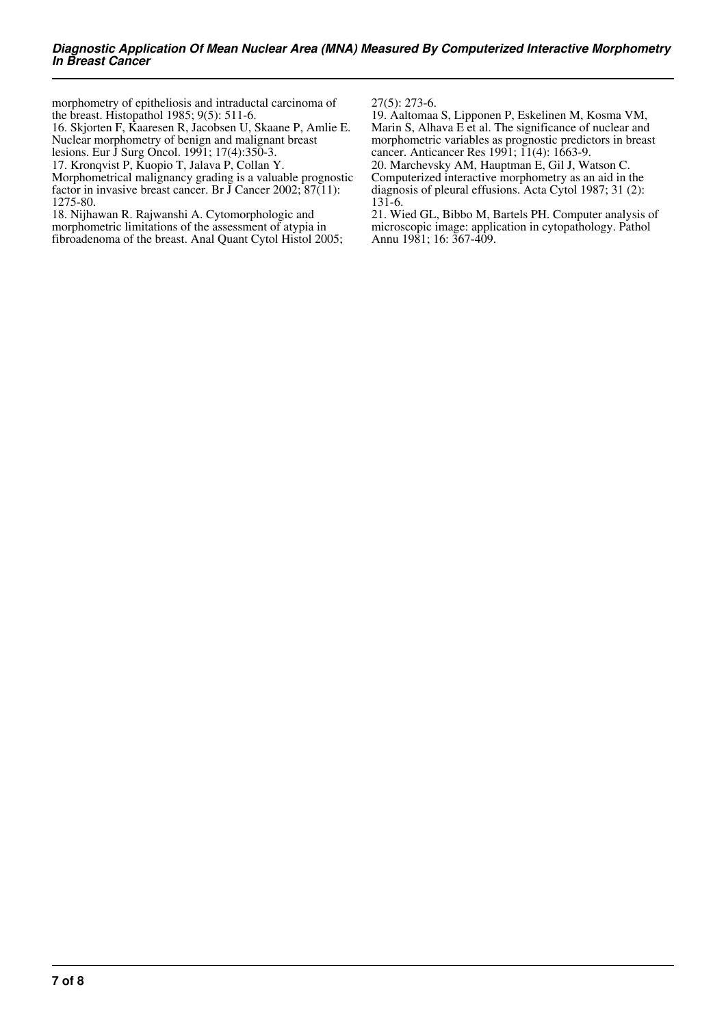morphometry of epitheliosis and intraductal carcinoma of the breast. Histopathol 1985; 9(5): 511-6.

16. Skjorten F, Kaaresen R, Jacobsen U, Skaane P, Amlie E. Nuclear morphometry of benign and malignant breast

lesions. Eur J Surg Oncol. 1991; 17(4):350-3.

17. Kronqvist P, Kuopio T, Jalava P, Collan Y. Morphometrical malignancy grading is a valuable prognostic factor in invasive breast cancer. Br  $\overline{J}$  Cancer 2002;  $\overline{87(11)}$ : 1275-80.

18. Nijhawan R. Rajwanshi A. Cytomorphologic and morphometric limitations of the assessment of atypia in fibroadenoma of the breast. Anal Quant Cytol Histol 2005; 27(5): 273-6.

19. Aaltomaa S, Lipponen P, Eskelinen M, Kosma VM, Marin S, Alhava E et al. The significance of nuclear and morphometric variables as prognostic predictors in breast cancer. Anticancer Res 1991; 11(4): 1663-9.

20. Marchevsky AM, Hauptman E, Gil J, Watson C. Computerized interactive morphometry as an aid in the diagnosis of pleural effusions. Acta Cytol 1987; 31 (2): 131-6.

21. Wied GL, Bibbo M, Bartels PH. Computer analysis of microscopic image: application in cytopathology. Pathol Annu 1981; 16: 367-409.